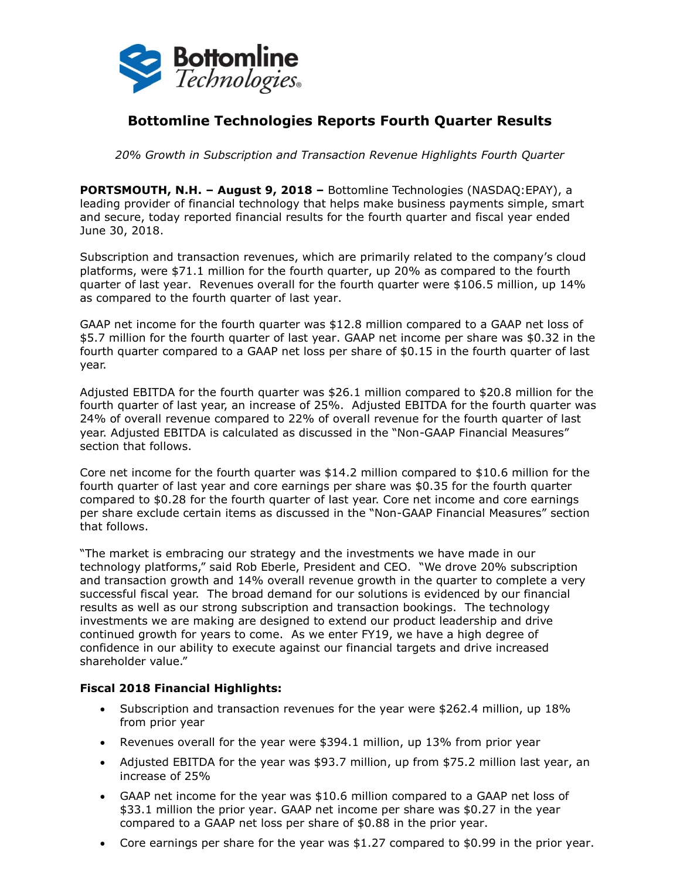

# **Bottomline Technologies Reports Fourth Quarter Results**

*20% Growth in Subscription and Transaction Revenue Highlights Fourth Quarter*

**PORTSMOUTH, N.H. – August 9, 2018 –** Bottomline Technologies (NASDAQ:EPAY), a leading provider of financial technology that helps make business payments simple, smart and secure, today reported financial results for the fourth quarter and fiscal year ended June 30, 2018.

Subscription and transaction revenues, which are primarily related to the company's cloud platforms, were \$71.1 million for the fourth quarter, up 20% as compared to the fourth quarter of last year. Revenues overall for the fourth quarter were \$106.5 million, up 14% as compared to the fourth quarter of last year.

GAAP net income for the fourth quarter was \$12.8 million compared to a GAAP net loss of \$5.7 million for the fourth quarter of last year. GAAP net income per share was \$0.32 in the fourth quarter compared to a GAAP net loss per share of \$0.15 in the fourth quarter of last year.

Adjusted EBITDA for the fourth quarter was \$26.1 million compared to \$20.8 million for the fourth quarter of last year, an increase of 25%. Adjusted EBITDA for the fourth quarter was 24% of overall revenue compared to 22% of overall revenue for the fourth quarter of last year. Adjusted EBITDA is calculated as discussed in the "Non-GAAP Financial Measures" section that follows.

Core net income for the fourth quarter was \$14.2 million compared to \$10.6 million for the fourth quarter of last year and core earnings per share was \$0.35 for the fourth quarter compared to \$0.28 for the fourth quarter of last year. Core net income and core earnings per share exclude certain items as discussed in the "Non-GAAP Financial Measures" section that follows.

"The market is embracing our strategy and the investments we have made in our technology platforms," said Rob Eberle, President and CEO. "We drove 20% subscription and transaction growth and 14% overall revenue growth in the quarter to complete a very successful fiscal year. The broad demand for our solutions is evidenced by our financial results as well as our strong subscription and transaction bookings. The technology investments we are making are designed to extend our product leadership and drive continued growth for years to come. As we enter FY19, we have a high degree of confidence in our ability to execute against our financial targets and drive increased shareholder value."

### **Fiscal 2018 Financial Highlights:**

- Subscription and transaction revenues for the year were \$262.4 million, up 18% from prior year
- Revenues overall for the year were \$394.1 million, up 13% from prior year
- Adjusted EBITDA for the year was \$93.7 million, up from \$75.2 million last year, an increase of 25%
- GAAP net income for the year was \$10.6 million compared to a GAAP net loss of \$33.1 million the prior year. GAAP net income per share was \$0.27 in the year compared to a GAAP net loss per share of \$0.88 in the prior year.
- Core earnings per share for the year was \$1.27 compared to \$0.99 in the prior year.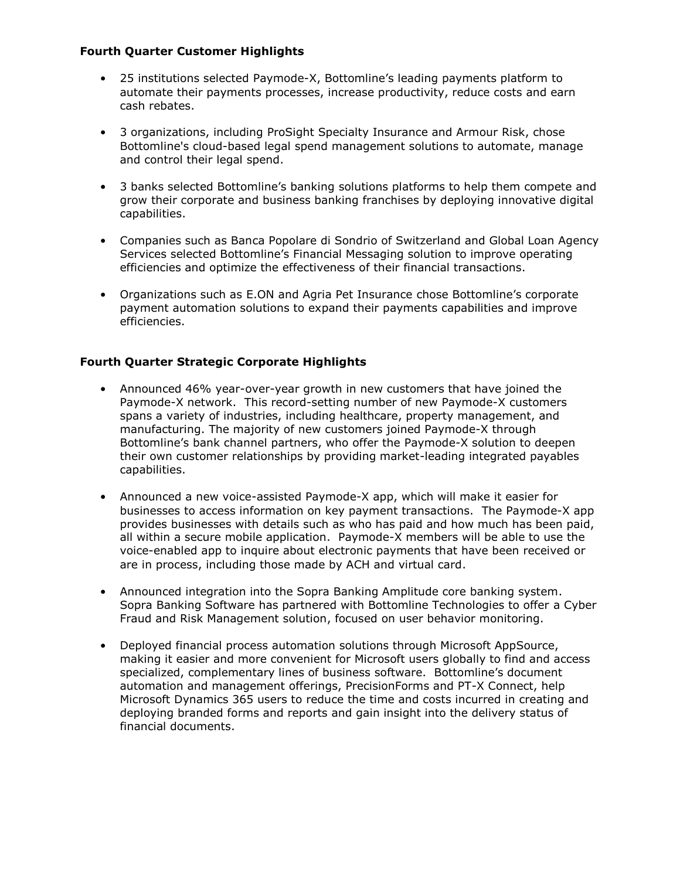### **Fourth Quarter Customer Highlights**

- 25 institutions selected Paymode-X, Bottomline's leading payments platform to automate their payments processes, increase productivity, reduce costs and earn cash rebates.
- 3 organizations, including ProSight Specialty Insurance and Armour Risk, chose Bottomline's cloud-based legal spend management solutions to automate, manage and control their legal spend.
- 3 banks selected Bottomline's banking solutions platforms to help them compete and grow their corporate and business banking franchises by deploying innovative digital capabilities.
- Companies such as Banca Popolare di Sondrio of Switzerland and Global Loan Agency Services selected Bottomline's Financial Messaging solution to improve operating efficiencies and optimize the effectiveness of their financial transactions.
- Organizations such as E.ON and Agria Pet Insurance chose Bottomline's corporate payment automation solutions to expand their payments capabilities and improve efficiencies.

## **Fourth Quarter Strategic Corporate Highlights**

- Announced 46% year-over-year growth in new customers that have joined the Paymode-X network. This record-setting number of new Paymode-X customers spans a variety of industries, including healthcare, property management, and manufacturing. The majority of new customers joined Paymode-X through Bottomline's bank channel partners, who offer the Paymode-X solution to deepen their own customer relationships by providing market-leading integrated payables capabilities.
- Announced a new voice-assisted Paymode-X app, which will make it easier for businesses to access information on key payment transactions. The [Paymode-X app](https://www.bottomline.com/us/voice) provides businesses with details such as who has paid and how much has been paid, all within a secure mobile application. Paymode-X members will be able to use the voice-enabled app to inquire about electronic payments that have been received or are in process, including those made by ACH and virtual card.
- Announced integration into the Sopra Banking Amplitude core banking system. Sopra Banking Software has partnered with Bottomline Technologies to offer a Cyber Fraud and Risk Management solution, focused on user behavior monitoring.
- Deployed financial process automation solutions through Microsoft AppSource, making it easier and more convenient for Microsoft users globally to find and access specialized, complementary lines of business software. Bottomline's document automation and management offerings, PrecisionForms and PT-X Connect, help Microsoft Dynamics 365 users to reduce the time and costs incurred in creating and deploying branded forms and reports and gain insight into the delivery status of financial documents.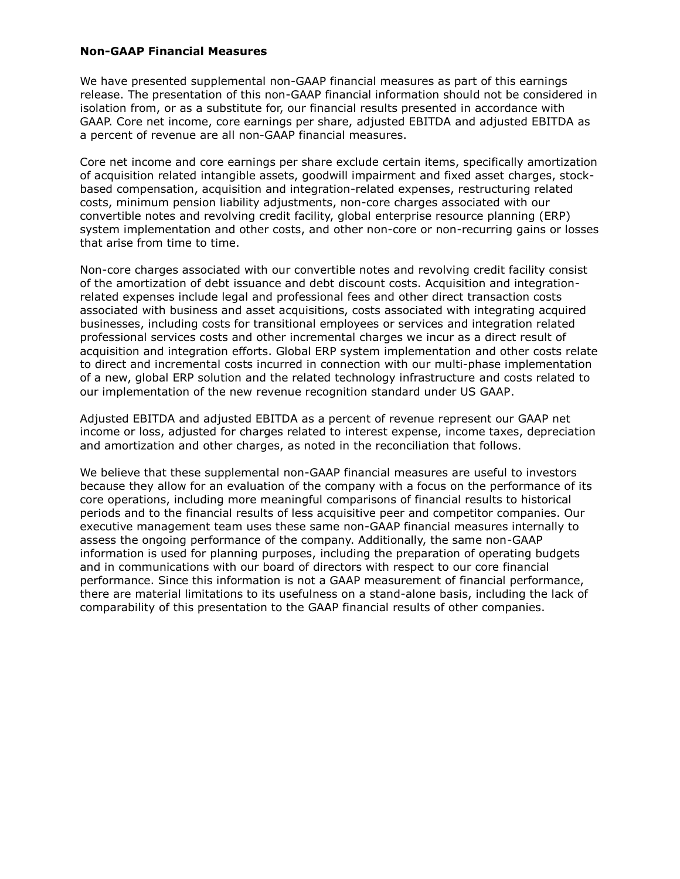#### **Non-GAAP Financial Measures**

We have presented supplemental non-GAAP financial measures as part of this earnings release. The presentation of this non-GAAP financial information should not be considered in isolation from, or as a substitute for, our financial results presented in accordance with GAAP. Core net income, core earnings per share, adjusted EBITDA and adjusted EBITDA as a percent of revenue are all non-GAAP financial measures.

Core net income and core earnings per share exclude certain items, specifically amortization of acquisition related intangible assets, goodwill impairment and fixed asset charges, stockbased compensation, acquisition and integration-related expenses, restructuring related costs, minimum pension liability adjustments, non-core charges associated with our convertible notes and revolving credit facility, global enterprise resource planning (ERP) system implementation and other costs, and other non-core or non-recurring gains or losses that arise from time to time.

Non-core charges associated with our convertible notes and revolving credit facility consist of the amortization of debt issuance and debt discount costs. Acquisition and integrationrelated expenses include legal and professional fees and other direct transaction costs associated with business and asset acquisitions, costs associated with integrating acquired businesses, including costs for transitional employees or services and integration related professional services costs and other incremental charges we incur as a direct result of acquisition and integration efforts. Global ERP system implementation and other costs relate to direct and incremental costs incurred in connection with our multi-phase implementation of a new, global ERP solution and the related technology infrastructure and costs related to our implementation of the new revenue recognition standard under US GAAP.

Adjusted EBITDA and adjusted EBITDA as a percent of revenue represent our GAAP net income or loss, adjusted for charges related to interest expense, income taxes, depreciation and amortization and other charges, as noted in the reconciliation that follows.

We believe that these supplemental non-GAAP financial measures are useful to investors because they allow for an evaluation of the company with a focus on the performance of its core operations, including more meaningful comparisons of financial results to historical periods and to the financial results of less acquisitive peer and competitor companies. Our executive management team uses these same non-GAAP financial measures internally to assess the ongoing performance of the company. Additionally, the same non-GAAP information is used for planning purposes, including the preparation of operating budgets and in communications with our board of directors with respect to our core financial performance. Since this information is not a GAAP measurement of financial performance, there are material limitations to its usefulness on a stand-alone basis, including the lack of comparability of this presentation to the GAAP financial results of other companies.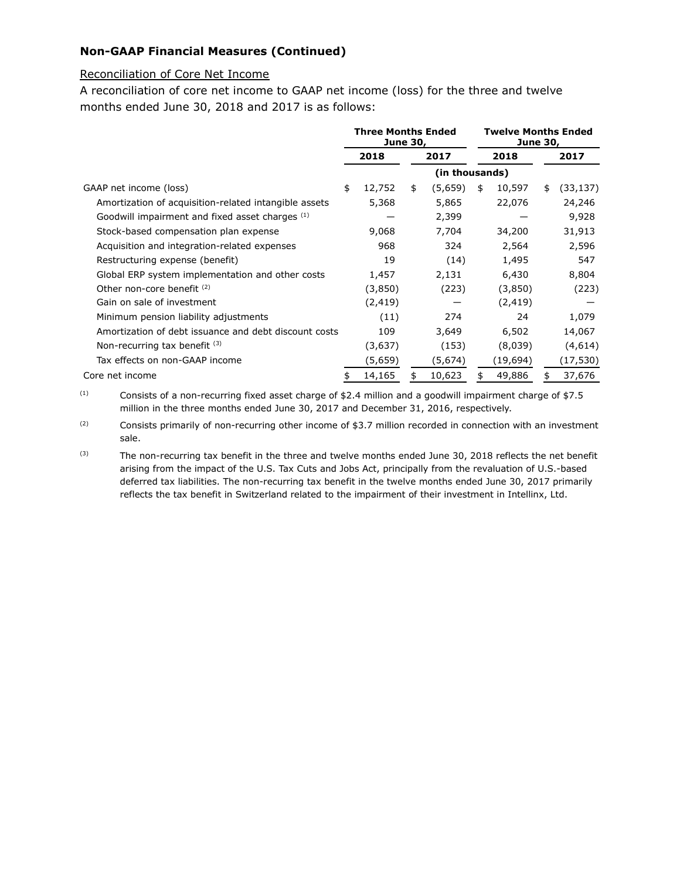## **Non-GAAP Financial Measures (Continued)**

### Reconciliation of Core Net Income

A reconciliation of core net income to GAAP net income (loss) for the three and twelve months ended June 30, 2018 and 2017 is as follows:

|                                                       | <b>Three Months Ended</b><br><b>June 30,</b> |      |                | <b>Twelve Months Ended</b><br><b>June 30,</b> |          |    |           |
|-------------------------------------------------------|----------------------------------------------|------|----------------|-----------------------------------------------|----------|----|-----------|
|                                                       | 2018                                         | 2017 |                | 2018                                          |          |    | 2017      |
|                                                       |                                              |      | (in thousands) |                                               |          |    |           |
| GAAP net income (loss)                                | \$<br>12,752                                 | \$   | (5,659)        | \$                                            | 10,597   | \$ | (33, 137) |
| Amortization of acquisition-related intangible assets | 5,368                                        |      | 5,865          |                                               | 22,076   |    | 24,246    |
| Goodwill impairment and fixed asset charges (1)       |                                              |      | 2,399          |                                               |          |    | 9,928     |
| Stock-based compensation plan expense                 | 9,068                                        |      | 7,704          |                                               | 34,200   |    | 31,913    |
| Acquisition and integration-related expenses          | 968                                          |      | 324            |                                               | 2,564    |    | 2,596     |
| Restructuring expense (benefit)                       | 19                                           |      | (14)           |                                               | 1,495    |    | 547       |
| Global ERP system implementation and other costs      | 1,457                                        |      | 2,131          |                                               | 6,430    |    | 8,804     |
| Other non-core benefit (2)                            | (3,850)                                      |      | (223)          |                                               | (3,850)  |    | (223)     |
| Gain on sale of investment                            | (2, 419)                                     |      |                |                                               | (2, 419) |    |           |
| Minimum pension liability adjustments                 | (11)                                         |      | 274            |                                               | 24       |    | 1,079     |
| Amortization of debt issuance and debt discount costs | 109                                          |      | 3,649          |                                               | 6,502    |    | 14,067    |
| Non-recurring tax benefit $(3)$                       | (3,637)                                      |      | (153)          |                                               | (8,039)  |    | (4,614)   |
| Tax effects on non-GAAP income                        | (5,659)                                      |      | (5,674)        |                                               | (19,694) |    | (17, 530) |
| Core net income                                       | \$<br>14,165                                 | \$   | 10,623         |                                               | 49,886   | \$ | 37,676    |

 $(1)$  Consists of a non-recurring fixed asset charge of \$2.4 million and a goodwill impairment charge of \$7.5 million in the three months ended June 30, 2017 and December 31, 2016, respectively.

(2) Consists primarily of non-recurring other income of \$3.7 million recorded in connection with an investment sale.

(3) The non-recurring tax benefit in the three and twelve months ended June 30, 2018 reflects the net benefit arising from the impact of the U.S. Tax Cuts and Jobs Act, principally from the revaluation of U.S.-based deferred tax liabilities. The non-recurring tax benefit in the twelve months ended June 30, 2017 primarily reflects the tax benefit in Switzerland related to the impairment of their investment in Intellinx, Ltd.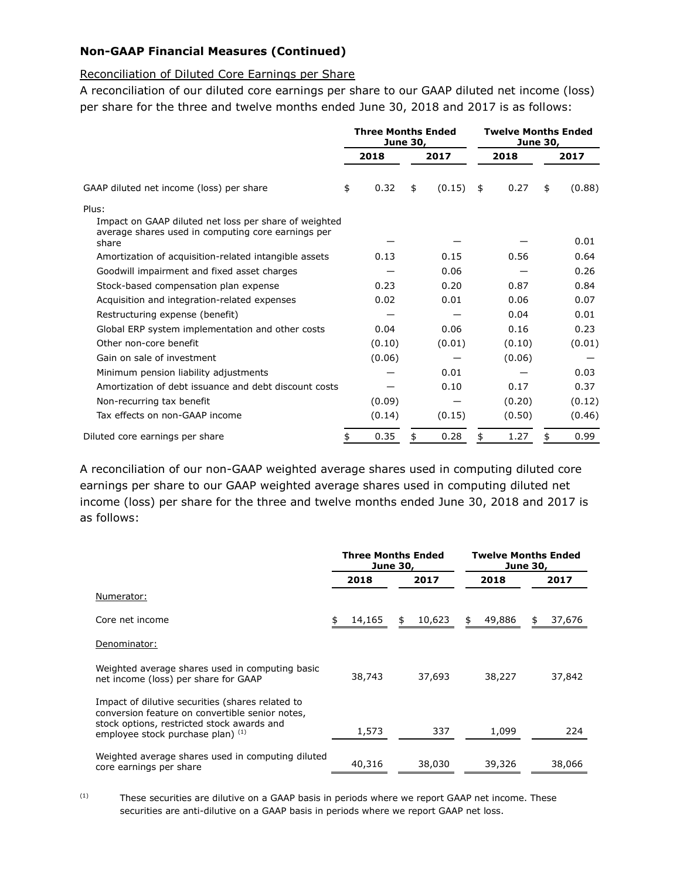## **Non-GAAP Financial Measures (Continued)**

### Reconciliation of Diluted Core Earnings per Share

A reconciliation of our diluted core earnings per share to our GAAP diluted net income (loss) per share for the three and twelve months ended June 30, 2018 and 2017 is as follows:

|                                                                | <b>Three Months Ended</b><br><b>June 30,</b> |        |    | <b>Twelve Months Ended</b><br><b>June 30,</b> |    |        |    |        |
|----------------------------------------------------------------|----------------------------------------------|--------|----|-----------------------------------------------|----|--------|----|--------|
|                                                                |                                              | 2018   |    | 2017                                          |    | 2018   |    | 2017   |
| GAAP diluted net income (loss) per share                       | \$                                           | 0.32   | \$ | (0.15)                                        | \$ | 0.27   | \$ | (0.88) |
| Plus:<br>Impact on GAAP diluted net loss per share of weighted |                                              |        |    |                                               |    |        |    |        |
| average shares used in computing core earnings per<br>share    |                                              |        |    |                                               |    |        |    | 0.01   |
| Amortization of acquisition-related intangible assets          |                                              | 0.13   |    | 0.15                                          |    | 0.56   |    | 0.64   |
| Goodwill impairment and fixed asset charges                    |                                              |        |    | 0.06                                          |    |        |    | 0.26   |
| Stock-based compensation plan expense                          |                                              | 0.23   |    | 0.20                                          |    | 0.87   |    | 0.84   |
| Acquisition and integration-related expenses                   |                                              | 0.02   |    | 0.01                                          |    | 0.06   |    | 0.07   |
| Restructuring expense (benefit)                                |                                              |        |    |                                               |    | 0.04   |    | 0.01   |
| Global ERP system implementation and other costs               |                                              | 0.04   |    | 0.06                                          |    | 0.16   |    | 0.23   |
| Other non-core benefit                                         |                                              | (0.10) |    | (0.01)                                        |    | (0.10) |    | (0.01) |
| Gain on sale of investment                                     |                                              | (0.06) |    |                                               |    | (0.06) |    |        |
| Minimum pension liability adjustments                          |                                              |        |    | 0.01                                          |    |        |    | 0.03   |
| Amortization of debt issuance and debt discount costs          |                                              |        |    | 0.10                                          |    | 0.17   |    | 0.37   |
| Non-recurring tax benefit                                      |                                              | (0.09) |    |                                               |    | (0.20) |    | (0.12) |
| Tax effects on non-GAAP income                                 |                                              | (0.14) |    | (0.15)                                        |    | (0.50) |    | (0.46) |
| Diluted core earnings per share                                | \$                                           | 0.35   | \$ | 0.28                                          | \$ | 1.27   |    | 0.99   |

A reconciliation of our non-GAAP weighted average shares used in computing diluted core earnings per share to our GAAP weighted average shares used in computing diluted net income (loss) per share for the three and twelve months ended June 30, 2018 and 2017 is as follows:

|                                                                                                                                                                                        |              | <b>Three Months Ended</b><br><b>June 30,</b> | <b>Twelve Months Ended</b><br>June 30, |              |  |  |
|----------------------------------------------------------------------------------------------------------------------------------------------------------------------------------------|--------------|----------------------------------------------|----------------------------------------|--------------|--|--|
|                                                                                                                                                                                        | 2018         | 2017                                         | 2018                                   | 2017         |  |  |
| Numerator:                                                                                                                                                                             |              |                                              |                                        |              |  |  |
| Core net income                                                                                                                                                                        | 14,165<br>\$ | \$<br>10,623                                 | 49,886<br>\$                           | 37,676<br>\$ |  |  |
| Denominator:                                                                                                                                                                           |              |                                              |                                        |              |  |  |
| Weighted average shares used in computing basic<br>net income (loss) per share for GAAP                                                                                                | 38,743       | 37,693                                       | 38,227                                 | 37,842       |  |  |
| Impact of dilutive securities (shares related to<br>conversion feature on convertible senior notes,<br>stock options, restricted stock awards and<br>employee stock purchase plan) (1) | 1,573        | 337                                          | 1,099                                  | 224          |  |  |
| Weighted average shares used in computing diluted<br>core earnings per share                                                                                                           | 40,316       | 38,030                                       | 39,326                                 | 38,066       |  |  |

 $(1)$  These securities are dilutive on a GAAP basis in periods where we report GAAP net income. These securities are anti-dilutive on a GAAP basis in periods where we report GAAP net loss.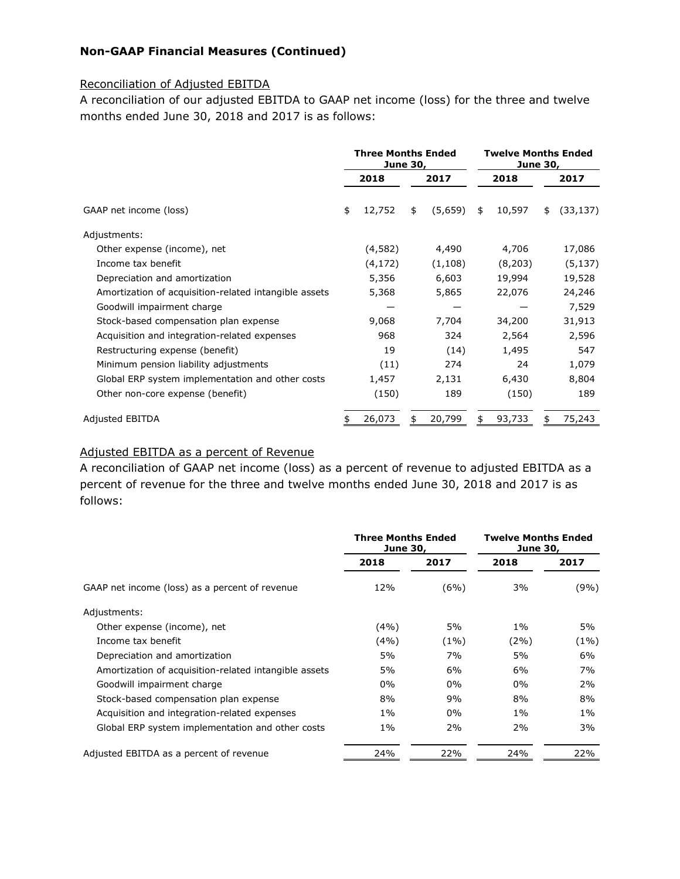## **Non-GAAP Financial Measures (Continued)**

### Reconciliation of Adjusted EBITDA

A reconciliation of our adjusted EBITDA to GAAP net income (loss) for the three and twelve months ended June 30, 2018 and 2017 is as follows:

|                                                       | <b>Three Months Ended</b><br><u>June 3</u> 0, |          |    | <b>Twelve Months Ended</b><br><u>June 30,</u> |    |          |    |           |
|-------------------------------------------------------|-----------------------------------------------|----------|----|-----------------------------------------------|----|----------|----|-----------|
|                                                       |                                               | 2018     |    | 2017                                          |    | 2018     |    | 2017      |
| GAAP net income (loss)                                | \$                                            | 12,752   | \$ | (5,659)                                       | \$ | 10,597   | \$ | (33, 137) |
| Adjustments:                                          |                                               |          |    |                                               |    |          |    |           |
| Other expense (income), net                           |                                               | (4,582)  |    | 4,490                                         |    | 4,706    |    | 17,086    |
| Income tax benefit                                    |                                               | (4, 172) |    | (1, 108)                                      |    | (8, 203) |    | (5, 137)  |
| Depreciation and amortization                         |                                               | 5,356    |    | 6,603                                         |    | 19,994   |    | 19,528    |
| Amortization of acquisition-related intangible assets |                                               | 5,368    |    | 5,865                                         |    | 22,076   |    | 24,246    |
| Goodwill impairment charge                            |                                               |          |    |                                               |    |          |    | 7,529     |
| Stock-based compensation plan expense                 |                                               | 9,068    |    | 7,704                                         |    | 34,200   |    | 31,913    |
| Acquisition and integration-related expenses          |                                               | 968      |    | 324                                           |    | 2,564    |    | 2,596     |
| Restructuring expense (benefit)                       |                                               | 19       |    | (14)                                          |    | 1,495    |    | 547       |
| Minimum pension liability adjustments                 |                                               | (11)     |    | 274                                           |    | 24       |    | 1,079     |
| Global ERP system implementation and other costs      |                                               | 1,457    |    | 2,131                                         |    | 6,430    |    | 8,804     |
| Other non-core expense (benefit)                      |                                               | (150)    |    | 189                                           |    | (150)    |    | 189       |
| <b>Adjusted EBITDA</b>                                |                                               | 26,073   | S. | 20,799                                        |    | 93,733   | \$ | 75,243    |

## Adjusted EBITDA as a percent of Revenue

A reconciliation of GAAP net income (loss) as a percent of revenue to adjusted EBITDA as a percent of revenue for the three and twelve months ended June 30, 2018 and 2017 is as follows:

|                                                       | <b>Three Months Ended</b><br><b>June 30,</b> |         | <b>Twelve Months Ended</b><br>June 30, |         |
|-------------------------------------------------------|----------------------------------------------|---------|----------------------------------------|---------|
|                                                       | 2018                                         | 2017    | 2018                                   | 2017    |
| GAAP net income (loss) as a percent of revenue        | 12%                                          | $(6\%)$ | 3%                                     | (9%)    |
| Adjustments:                                          |                                              |         |                                        |         |
| Other expense (income), net                           | (4%)                                         | 5%      | 1%                                     | 5%      |
| Income tax benefit                                    | (4%)                                         | (1%)    | $(2\%)$                                | $(1\%)$ |
| Depreciation and amortization                         | 5%                                           | 7%      | 5%                                     | 6%      |
| Amortization of acquisition-related intangible assets | 5%                                           | 6%      | 6%                                     | 7%      |
| Goodwill impairment charge                            | $0\%$                                        | $0\%$   | 0%                                     | 2%      |
| Stock-based compensation plan expense                 | 8%                                           | 9%      | 8%                                     | 8%      |
| Acquisition and integration-related expenses          | $1\%$                                        | $0\%$   | $1\%$                                  | $1\%$   |
| Global ERP system implementation and other costs      | 1%                                           | 2%      | 2%                                     | 3%      |
| Adjusted EBITDA as a percent of revenue               | 24%                                          | 22%     | 24%                                    | 22%     |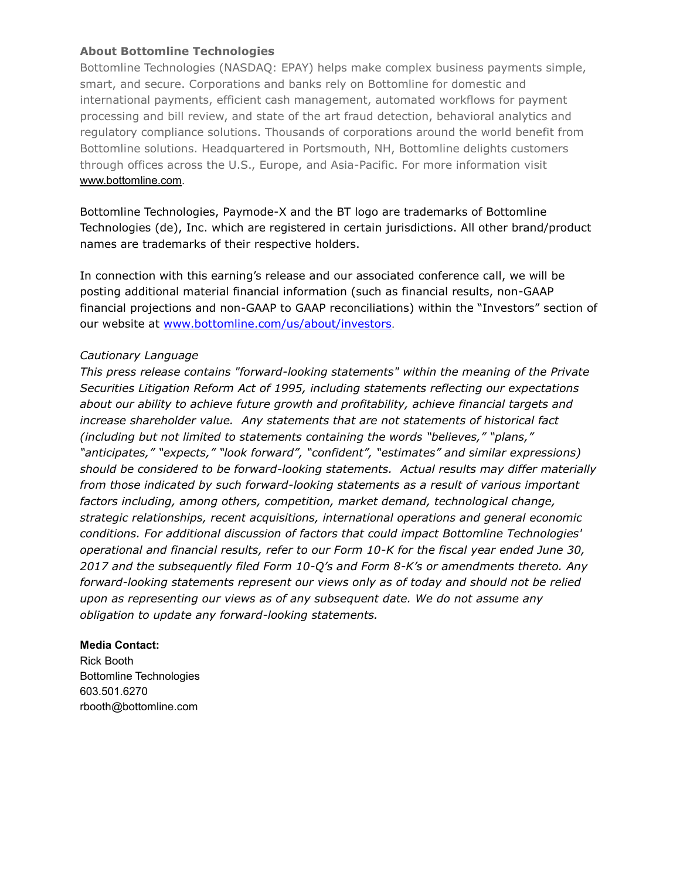### **About Bottomline Technologies**

Bottomline Technologies (NASDAQ: EPAY) helps make complex business payments simple, smart, and secure. Corporations and banks rely on Bottomline for domestic and international payments, efficient cash management, automated workflows for payment processing and bill review, and state of the art fraud detection, behavioral analytics and regulatory compliance solutions. Thousands of corporations around the world benefit from Bottomline solutions. Headquartered in Portsmouth, NH, Bottomline delights customers through offices across the U.S., Europe, and Asia-Pacific. For more information visit www.bottomline.com.

Bottomline Technologies, Paymode-X and the BT logo are trademarks of Bottomline Technologies (de), Inc. which are registered in certain jurisdictions. All other brand/product names are trademarks of their respective holders.

In connection with this earning's release and our associated conference call, we will be posting additional material financial information (such as financial results, non-GAAP financial projections and non-GAAP to GAAP reconciliations) within the "Investors" section of our website at www.bottomline.com/us/about/investors.

### *Cautionary Language*

*This press release contains "forward-looking statements" within the meaning of the Private Securities Litigation Reform Act of 1995, including statements reflecting our expectations about our ability to achieve future growth and profitability, achieve financial targets and increase shareholder value. Any statements that are not statements of historical fact (including but not limited to statements containing the words "believes," "plans," "anticipates," "expects," "look forward", "confident", "estimates" and similar expressions) should be considered to be forward-looking statements. Actual results may differ materially from those indicated by such forward-looking statements as a result of various important factors including, among others, competition, market demand, technological change, strategic relationships, recent acquisitions, international operations and general economic conditions. For additional discussion of factors that could impact Bottomline Technologies' operational and financial results, refer to our Form 10-K for the fiscal year ended June 30, 2017 and the subsequently filed Form 10-Q's and Form 8-K's or amendments thereto. Any forward-looking statements represent our views only as of today and should not be relied upon as representing our views as of any subsequent date. We do not assume any obligation to update any forward-looking statements.*

### **Media Contact:**

Rick Booth Bottomline Technologies 603.501.6270 rbooth@bottomline.com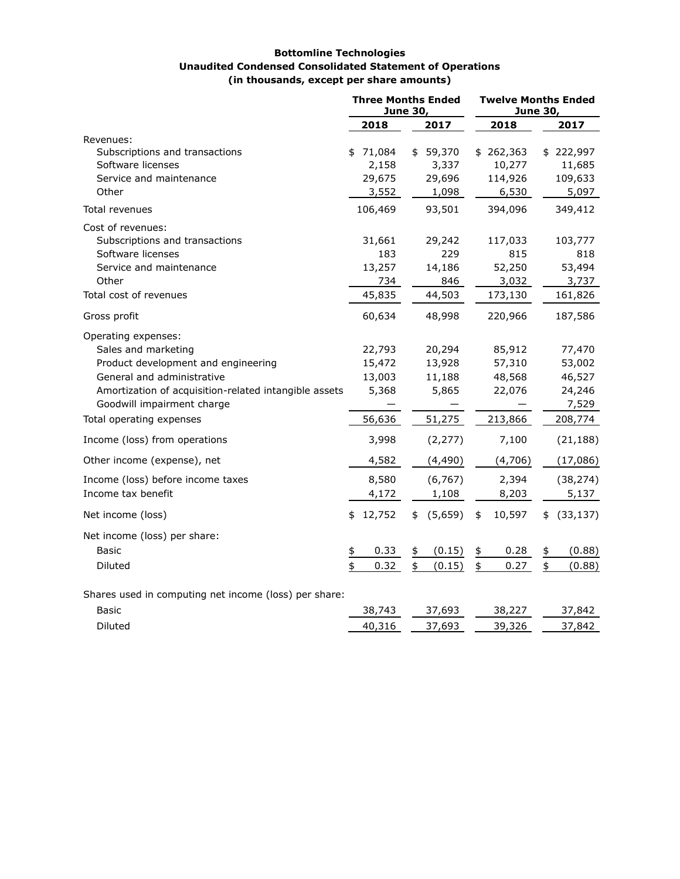### **Bottomline Technologies Unaudited Condensed Consolidated Statement of Operations (in thousands, except per share amounts)**

|                                                                                                                                                                                                        | <b>Three Months Ended</b><br>June 30, |                                     |                                      | <b>Twelve Months Ended</b><br><b>June 30,</b> |
|--------------------------------------------------------------------------------------------------------------------------------------------------------------------------------------------------------|---------------------------------------|-------------------------------------|--------------------------------------|-----------------------------------------------|
|                                                                                                                                                                                                        | 2018                                  | 2017                                | 2018                                 | 2017                                          |
| Revenues:<br>Subscriptions and transactions<br>Software licenses<br>Service and maintenance                                                                                                            | 71,084<br>\$<br>2,158<br>29,675       | \$59,370<br>3,337<br>29,696         | \$262,363<br>10,277<br>114,926       | \$222,997<br>11,685<br>109,633                |
| Other                                                                                                                                                                                                  | 3,552                                 | 1,098                               | 6,530                                | 5,097                                         |
| Total revenues                                                                                                                                                                                         | 106,469                               | 93,501                              | 394,096                              | 349,412                                       |
| Cost of revenues:<br>Subscriptions and transactions<br>Software licenses                                                                                                                               | 31,661<br>183                         | 29,242<br>229                       | 117,033<br>815                       | 103,777<br>818                                |
| Service and maintenance                                                                                                                                                                                | 13,257                                | 14,186                              | 52,250                               | 53,494                                        |
| Other                                                                                                                                                                                                  | 734                                   | 846                                 | 3,032                                | 3,737                                         |
| Total cost of revenues                                                                                                                                                                                 | 45,835                                | 44,503                              | 173,130                              | 161,826                                       |
| Gross profit                                                                                                                                                                                           | 60,634                                | 48,998                              | 220,966                              | 187,586                                       |
| Operating expenses:<br>Sales and marketing<br>Product development and engineering<br>General and administrative<br>Amortization of acquisition-related intangible assets<br>Goodwill impairment charge | 22,793<br>15,472<br>13,003<br>5,368   | 20,294<br>13,928<br>11,188<br>5,865 | 85,912<br>57,310<br>48,568<br>22,076 | 77,470<br>53,002<br>46,527<br>24,246<br>7,529 |
| Total operating expenses                                                                                                                                                                               | 56,636                                | 51,275                              | 213,866                              | 208,774                                       |
| Income (loss) from operations                                                                                                                                                                          | 3,998                                 | (2, 277)                            | 7,100                                | (21, 188)                                     |
| Other income (expense), net                                                                                                                                                                            | 4,582                                 | (4, 490)                            | (4,706)                              | (17,086)                                      |
| Income (loss) before income taxes<br>Income tax benefit                                                                                                                                                | 8,580<br>4,172                        | (6, 767)<br>1,108                   | 2,394<br>8,203                       | (38, 274)<br>5,137                            |
| Net income (loss)                                                                                                                                                                                      | 12,752<br>\$                          | (5,659)<br>\$                       | 10,597<br>\$                         | (33, 137)<br>\$                               |
| Net income (loss) per share:<br><b>Basic</b><br>Diluted                                                                                                                                                | 0.33<br>\$<br>\$<br>0.32              | \$<br>(0.15)<br>\$<br>(0.15)        | 0.28<br>\$<br>\$<br>0.27             | (0.88)<br>\$<br>\$<br>(0.88)                  |
| Shares used in computing net income (loss) per share:                                                                                                                                                  |                                       |                                     |                                      |                                               |
| Basic                                                                                                                                                                                                  | 38,743                                | 37,693                              | 38,227                               | 37,842                                        |
| Diluted                                                                                                                                                                                                | 40,316                                | 37,693                              | 39,326                               | 37,842                                        |